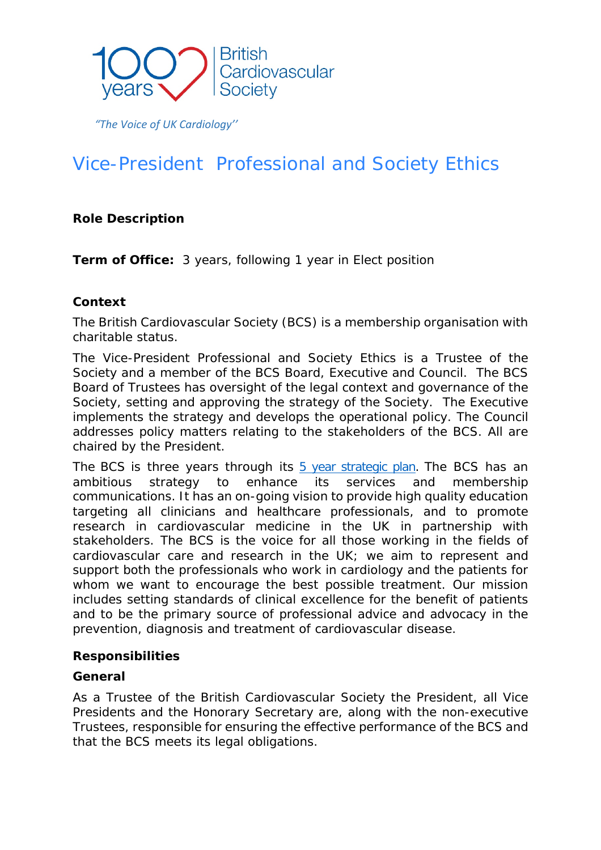

 *"The Voice of UK Cardiology''*

# Vice-President Professional and Society Ethics

## **Role Description**

**Term of Office:** 3 years, following 1 year in Elect position

#### **Context**

The British Cardiovascular Society (BCS) is a membership organisation with charitable status.

The Vice-President Professional and Society Ethics is a Trustee of the Society and a member of the BCS Board, Executive and Council. The BCS Board of Trustees has oversight of the legal context and governance of the Society, setting and approving the strategy of the Society. The Executive implements the strategy and develops the operational policy. The Council addresses policy matters relating to the stakeholders of the BCS. All are chaired by the President.

The BCS is three years through its  $5$  year strategic plan. The BCS has an ambitious strategy to enhance its services and membership communications. It has an on-going vision to provide high quality education targeting all clinicians and healthcare professionals, and to promote research in cardiovascular medicine in the UK in partnership with stakeholders. The BCS is the voice for all those working in the fields of cardiovascular care and research in the UK; we aim to represent and support both the professionals who work in cardiology and the patients for whom we want to encourage the best possible treatment. Our mission includes setting standards of clinical excellence for the benefit of patients and to be the primary source of professional advice and advocacy in the prevention, diagnosis and treatment of cardiovascular disease.

#### **Responsibilities**

#### *General*

As a Trustee of the British Cardiovascular Society the President, all Vice Presidents and the Honorary Secretary are, along with the non-executive Trustees, responsible for ensuring the effective performance of the BCS and that the BCS meets its legal obligations.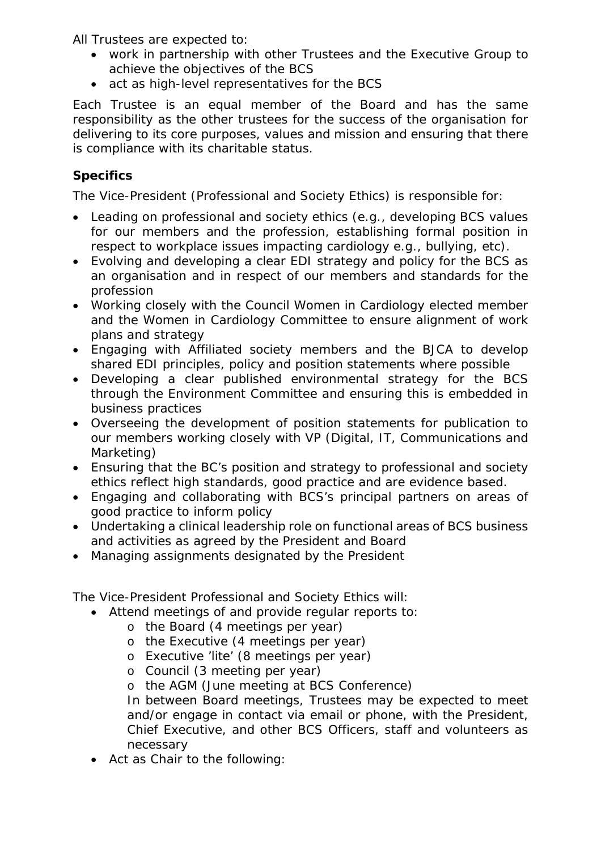All Trustees are expected to:

- work in partnership with other Trustees and the Executive Group to achieve the objectives of the BCS
- act as high-level representatives for the BCS

Each Trustee is an equal member of the Board and has the same responsibility as the other trustees for the success of the organisation for delivering to its core purposes, values and mission and ensuring that there is compliance with its charitable status.

# *Specifics*

The Vice-President (Professional and Society Ethics) is responsible for:

- Leading on professional and society ethics (e.g., developing BCS values for our members and the profession, establishing formal position in respect to workplace issues impacting cardiology e.g., bullying, etc).
- Evolving and developing a clear EDI strategy and policy for the BCS as an organisation and in respect of our members and standards for the profession
- Working closely with the Council Women in Cardiology elected member and the Women in Cardiology Committee to ensure alignment of work plans and strategy
- Engaging with Affiliated society members and the BJCA to develop shared EDI principles, policy and position statements where possible
- Developing a clear published environmental strategy for the BCS through the Environment Committee and ensuring this is embedded in business practices
- Overseeing the development of position statements for publication to our members working closely with VP (Digital, IT, Communications and Marketing)
- Ensuring that the BC's position and strategy to professional and society ethics reflect high standards, good practice and are evidence based.
- Engaging and collaborating with BCS's principal partners on areas of good practice to inform policy
- Undertaking a clinical leadership role on functional areas of BCS business and activities as agreed by the President and Board
- Managing assignments designated by the President

The Vice-President Professional and Society Ethics will:

- Attend meetings of and provide regular reports to:
	- o the Board (4 meetings per year)
	- o the Executive (4 meetings per year)
	- o Executive 'lite' (8 meetings per year)
	- o Council (3 meeting per year)
	- o the AGM (June meeting at BCS Conference)

In between Board meetings, Trustees may be expected to meet and/or engage in contact via email or phone, with the President, Chief Executive, and other BCS Officers, staff and volunteers as necessary

• Act as Chair to the following: